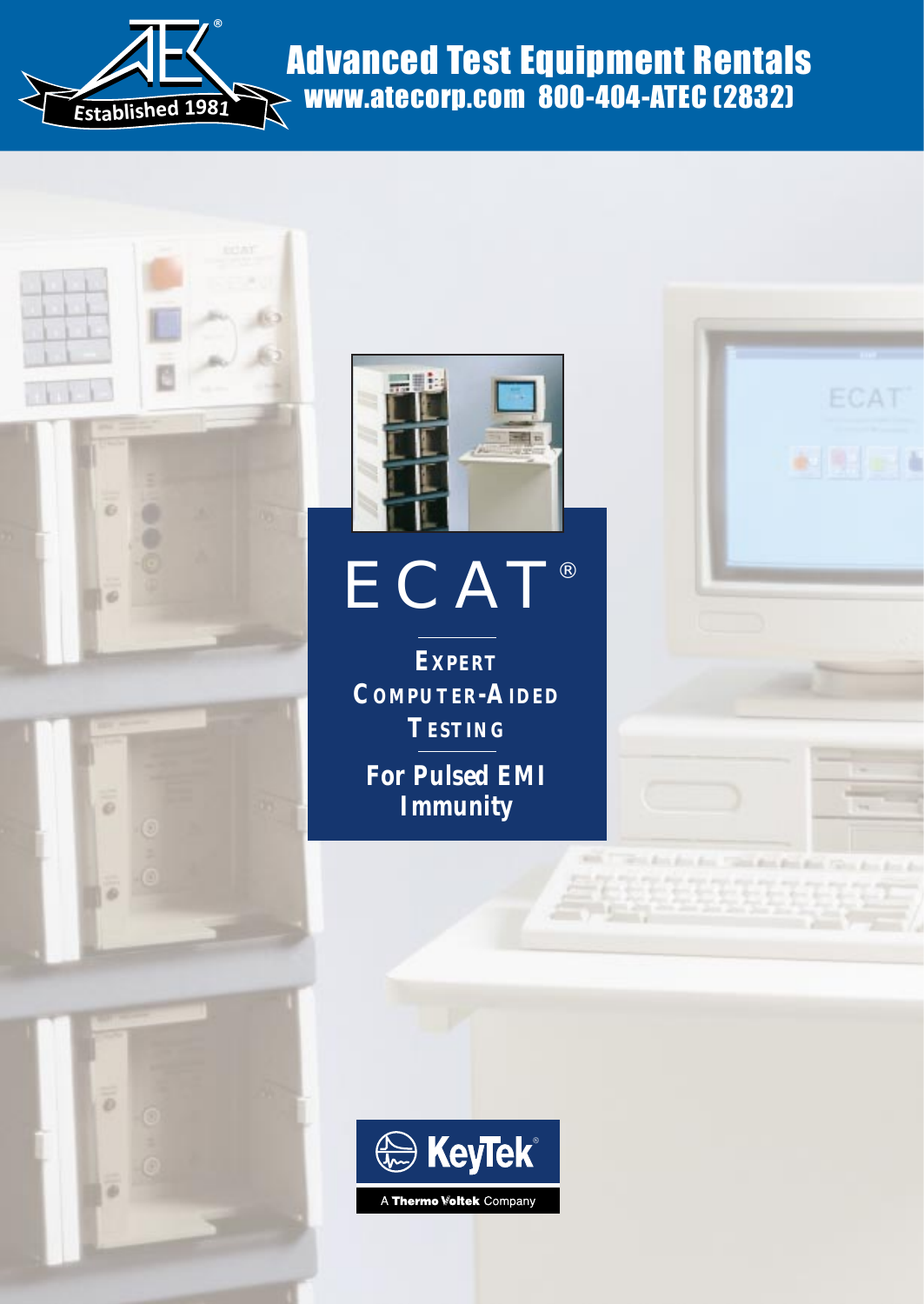

# Advanced Test Equipment Rentals www.atecorp.com 800-404-ATEC (2832)



ö



# ECAT®

**EXPERT COMPUTER-AIDED TESTING**

**For Pulsed EMI Immunity**



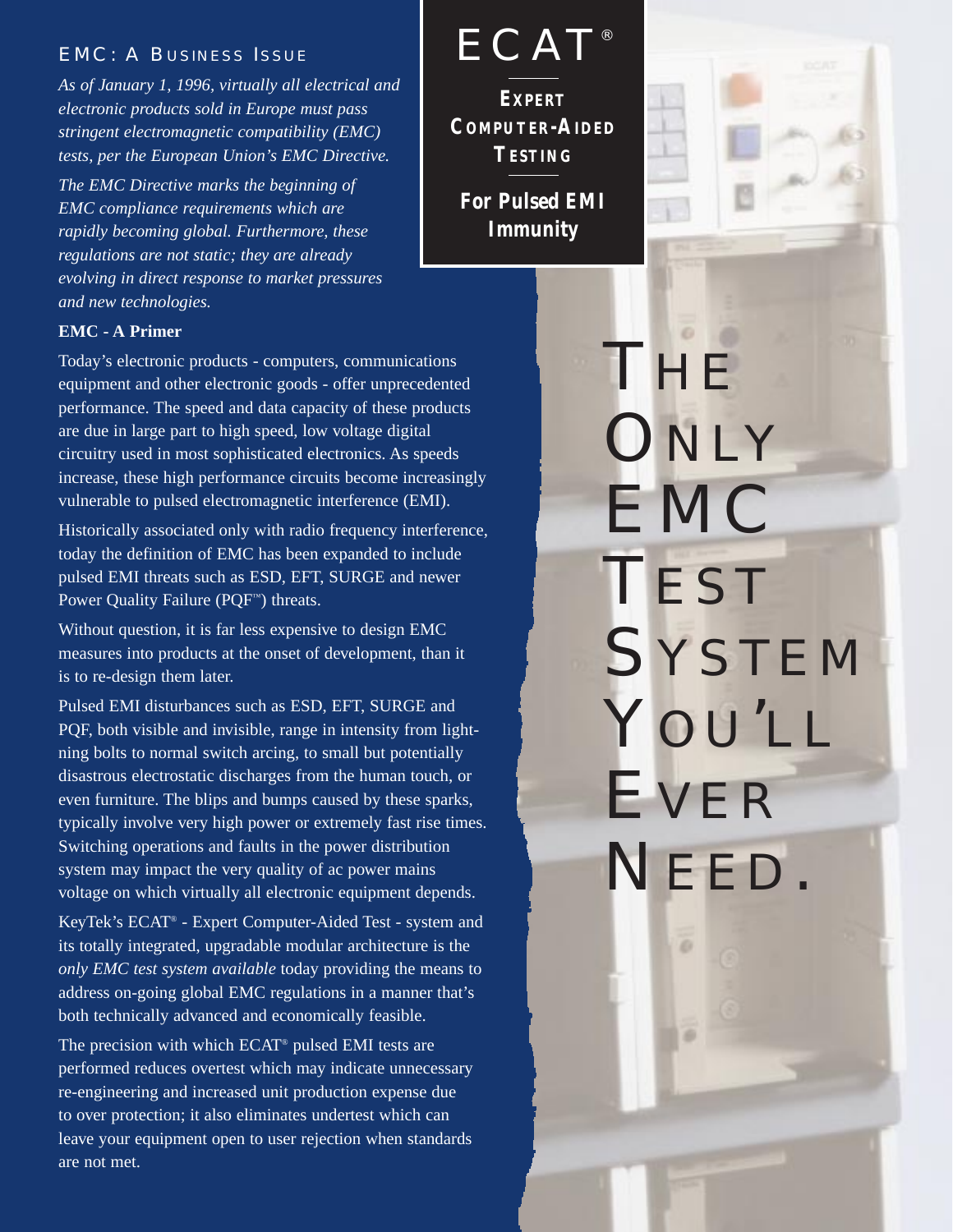### EMC: A BUSINESS ISSUE

*As of January 1, 1996, virtually all electrical and electronic products sold in Europe must pass stringent electromagnetic compatibility (EMC) tests, per the European Union's EMC Directive.* 

*The EMC Directive marks the beginning of EMC compliance requirements which are rapidly becoming global. Furthermore, these regulations are not static; they are already evolving in direct response to market pressures and new technologies.*

#### **EMC - A Primer**

Today's electronic products - computers, communications equipment and other electronic goods - offer unprecedented performance. The speed and data capacity of these products are due in large part to high speed, low voltage digital circuitry used in most sophisticated electronics. As speeds increase, these high performance circuits become increasingly vulnerable to pulsed electromagnetic interference (EMI).

Historically associated only with radio frequency interference, today the definition of EMC has been expanded to include pulsed EMI threats such as ESD, EFT, SURGE and newer Power Quality Failure (PQF™) threats.

Without question, it is far less expensive to design EMC measures into products at the onset of development, than it is to re-design them later.

Pulsed EMI disturbances such as ESD, EFT, SURGE and PQF, both visible and invisible, range in intensity from lightning bolts to normal switch arcing, to small but potentially disastrous electrostatic discharges from the human touch, or even furniture. The blips and bumps caused by these sparks, typically involve very high power or extremely fast rise times. Switching operations and faults in the power distribution system may impact the very quality of ac power mains voltage on which virtually all electronic equipment depends.

KeyTek's ECAT® - Expert Computer-Aided Test - system and its totally integrated, upgradable modular architecture is the *only EMC test system available* today providing the means to address on-going global EMC regulations in a manner that's both technically advanced and economically feasible.

The precision with which ECAT® pulsed EMI tests are performed reduces overtest which may indicate unnecessary re-engineering and increased unit production expense due to over protection; it also eliminates undertest which can leave your equipment open to user rejection when standards are not met.

**EXPERT COMPUTER-AIDED TESTING For Pulsed EMI ECAT®** 

**Immunity**



THE **ONLY** EMC **TEST SYSTEM** YOU'LL EVER NEED.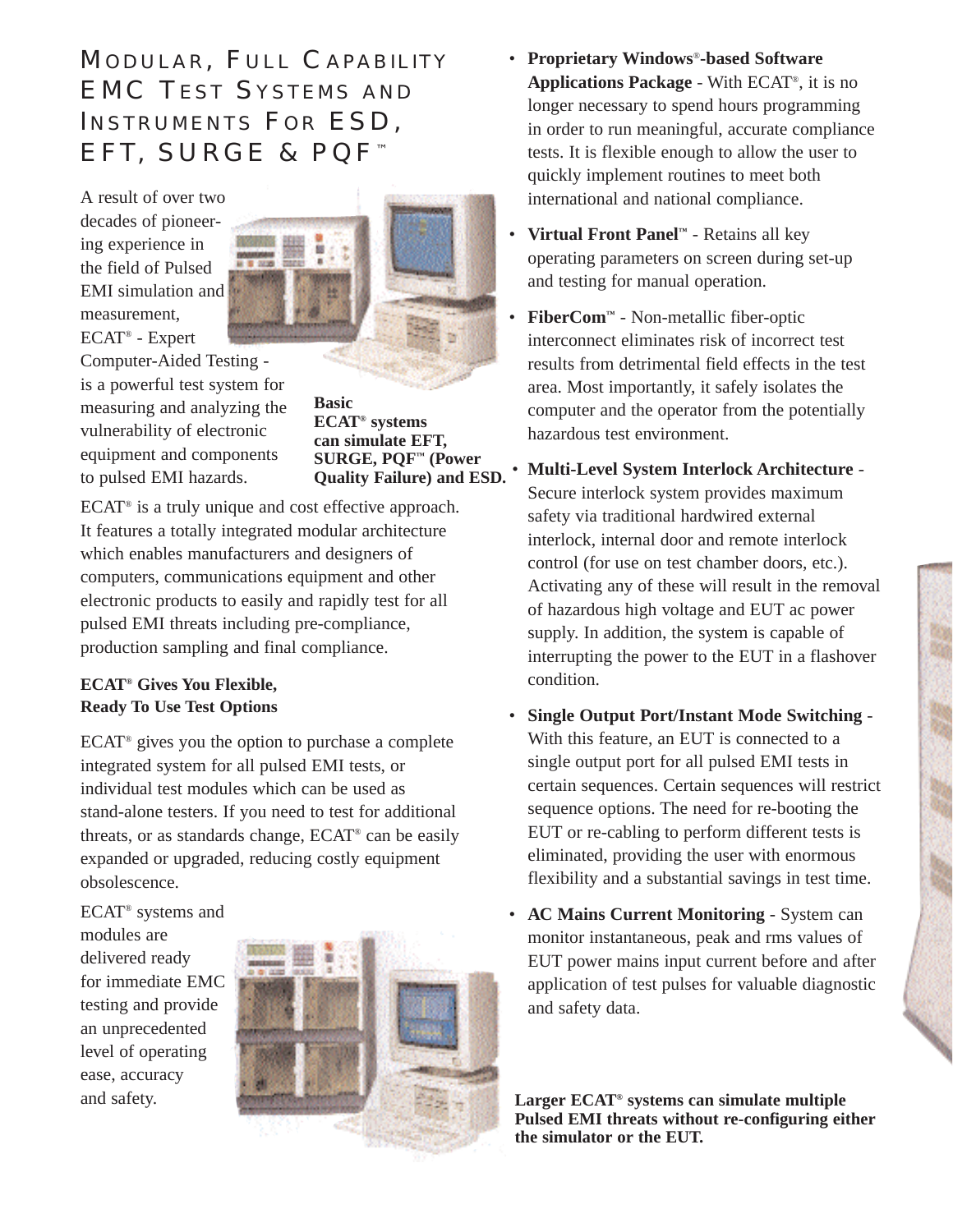# MODULAR, FULL CAPABILITY EMC TEST SYSTEMS AND INSTRUMENTS FOR ESD, EFT, SURGE & PQF™

A result of over two decades of pioneering experience in the field of Pulsed EMI simulation and measurement, ECAT® - Expert Computer-Aided Testing is a powerful test system for measuring and analyzing the vulnerability of electronic equipment and components to pulsed EMI hazards.



**Basic ECAT® systems can simulate EFT, SURGE, PQF™ (Power Quality Failure) and ESD.**

ECAT® is a truly unique and cost effective approach. It features a totally integrated modular architecture which enables manufacturers and designers of computers, communications equipment and other electronic products to easily and rapidly test for all pulsed EMI threats including pre-compliance, production sampling and final compliance.

#### **ECAT® Gives You Flexible, Ready To Use Test Options**

 $ECAT<sup>®</sup>$  gives you the option to purchase a complete integrated system for all pulsed EMI tests, or individual test modules which can be used as stand-alone testers. If you need to test for additional threats, or as standards change, ECAT® can be easily expanded or upgraded, reducing costly equipment obsolescence.

ECAT® systems and modules are delivered ready for immediate EMC testing and provide an unprecedented level of operating ease, accuracy and safety.



- **Proprietary Windows**®**-based Software Applications Package** - With ECAT®, it is no longer necessary to spend hours programming in order to run meaningful, accurate compliance tests. It is flexible enough to allow the user to quickly implement routines to meet both international and national compliance.
- **Virtual Front Panel™** Retains all key operating parameters on screen during set-up and testing for manual operation.
- **FiberCom™** Non-metallic fiber-optic interconnect eliminates risk of incorrect test results from detrimental field effects in the test area. Most importantly, it safely isolates the computer and the operator from the potentially hazardous test environment.
	- **Multi-Level System Interlock Architecture**  Secure interlock system provides maximum safety via traditional hardwired external interlock, internal door and remote interlock control (for use on test chamber doors, etc.). Activating any of these will result in the removal of hazardous high voltage and EUT ac power supply. In addition, the system is capable of interrupting the power to the EUT in a flashover condition.
- **Single Output Port/Instant Mode Switching**  With this feature, an EUT is connected to a single output port for all pulsed EMI tests in certain sequences. Certain sequences will restrict sequence options. The need for re-booting the EUT or re-cabling to perform different tests is eliminated, providing the user with enormous flexibility and a substantial savings in test time.
- **AC Mains Current Monitoring**  System can monitor instantaneous, peak and rms values of EUT power mains input current before and after application of test pulses for valuable diagnostic and safety data.

**Larger ECAT® systems can simulate multiple Pulsed EMI threats without re-configuring either the simulator or the EUT.**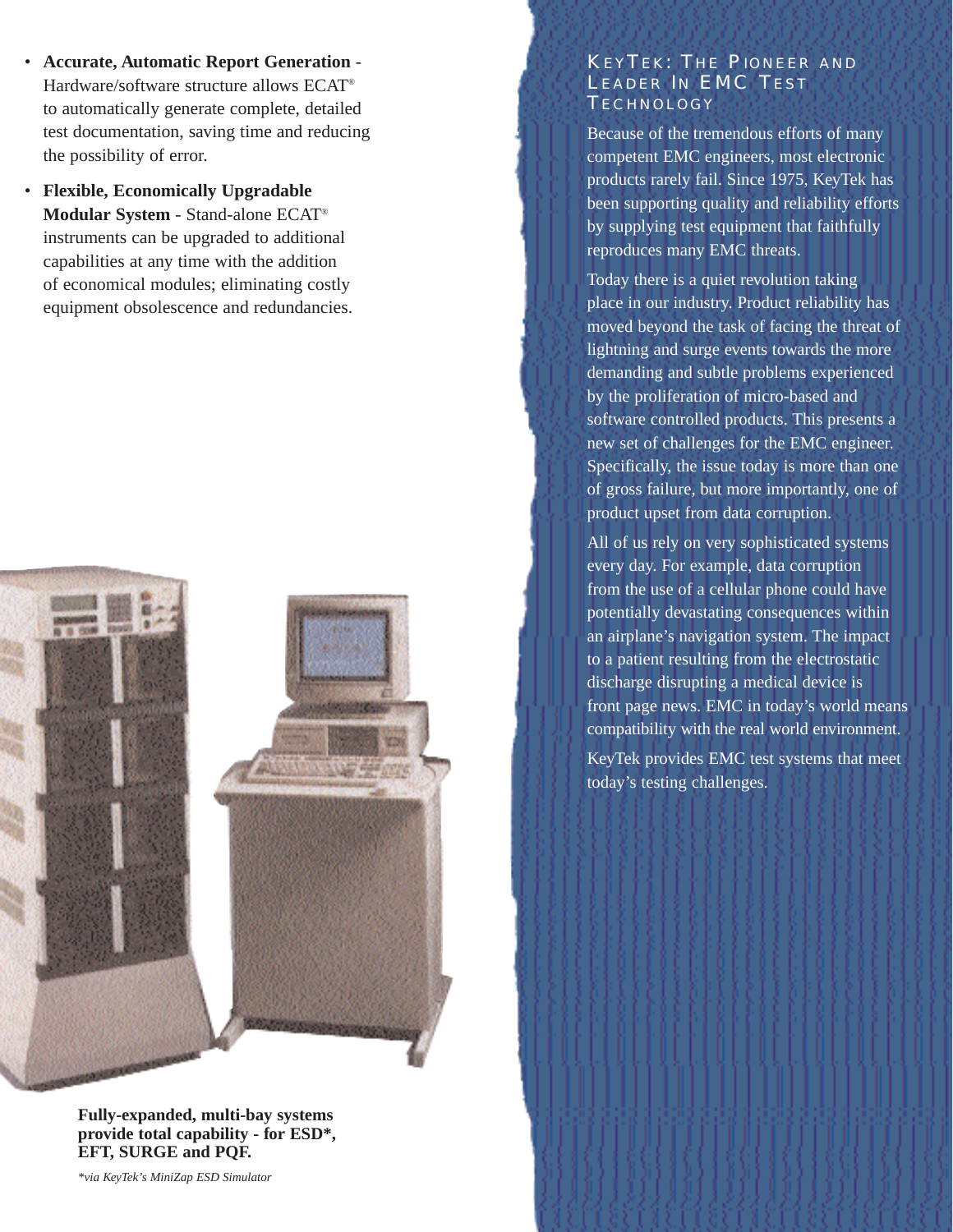- **Accurate, Automatic Report Generation**  Hardware/software structure allows ECAT® to automatically generate complete, detailed test documentation, saving time and reducing the possibility of error.
- **Flexible, Economically Upgradable Modular System** - Stand-alone ECAT® instruments can be upgraded to additional capabilities at any time with the addition of economical modules; eliminating costly equipment obsolescence and redundancies.



**Fully-expanded, multi-bay systems provide total capability - for ESD\*, EFT, SURGE and PQF.**

*\*via KeyTek's MiniZap ESD Simulator*

#### KEYTEK: THE PIONEER AND LEADER IN EMC TEST TECHNOLOGY

Because of the tremendous efforts of many competent EMC engineers, most electronic products rarely fail. Since 1975, KeyTek has been supporting quality and reliability efforts by supplying test equipment that faithfully reproduces many EMC threats.

Today there is a quiet revolution taking place in our industry. Product reliability has moved beyond the task of facing the threat of lightning and surge events towards the more demanding and subtle problems experienced by the proliferation of micro-based and software controlled products. This presents a new set of challenges for the EMC engineer. Specifically, the issue today is more than one of gross failure, but more importantly, one of product upset from data corruption.

All of us rely on very sophisticated systems every day. For example, data corruption from the use of a cellular phone could have potentially devastating consequences within an airplane's navigation system. The impact to a patient resulting from the electrostatic discharge disrupting a medical device is front page news. EMC in today's world means compatibility with the real world environment. KeyTek provides EMC test systems that meet today's testing challenges.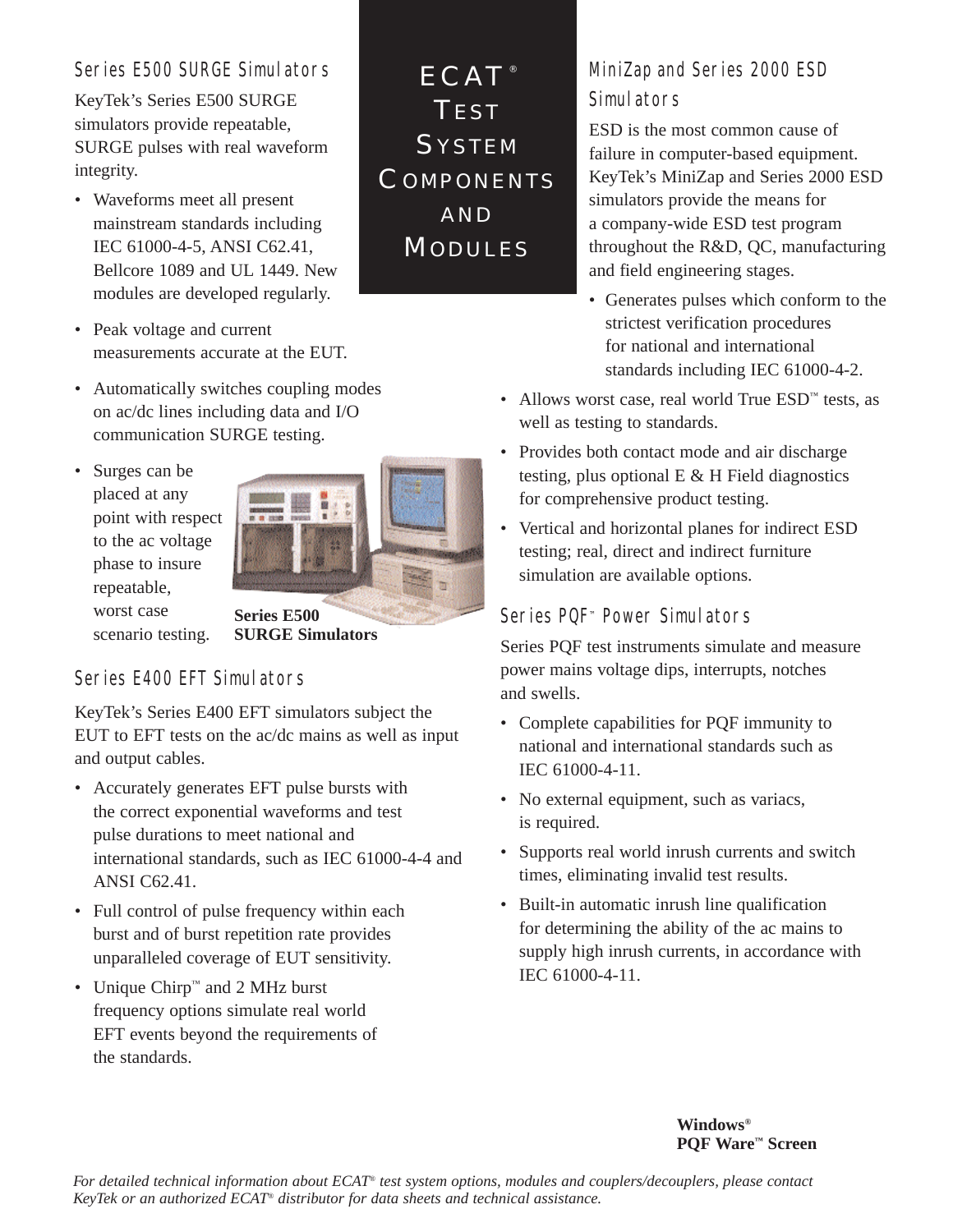## Series E500 SURGE Simulators

KeyTek's Series E500 SURGE simulators provide repeatable, SURGE pulses with real waveform integrity.

- Waveforms meet all present mainstream standards including IEC 61000-4-5, ANSI C62.41, Bellcore 1089 and UL 1449. New modules are developed regularly.
- Peak voltage and current measurements accurate at the EUT.
- Automatically switches coupling modes on ac/dc lines including data and I/O communication SURGE testing.
- Surges can be placed at any point with respect to the ac voltage phase to insure repeatable, worst case



scenario testing.

**SURGE Simulators**

# Series E400 EFT Simulators

KeyTek's Series E400 EFT simulators subject the EUT to EFT tests on the ac/dc mains as well as input and output cables.

- Accurately generates EFT pulse bursts with the correct exponential waveforms and test pulse durations to meet national and international standards, such as IEC 61000-4-4 and ANSI C62.41.
- Full control of pulse frequency within each burst and of burst repetition rate provides unparalleled coverage of EUT sensitivity.
- Unique Chirp™ and 2 MHz burst frequency options simulate real world EFT events beyond the requirements of the standards.

ECAT<sup>®</sup> TEST **SYSTEM COMPONENTS** AND **MODULES** 

# MiniZap and Series 2000 ESD Simulators

ESD is the most common cause of failure in computer-based equipment. KeyTek's MiniZap and Series 2000 ESD simulators provide the means for a company-wide ESD test program throughout the R&D, QC, manufacturing and field engineering stages.

- Generates pulses which conform to the strictest verification procedures for national and international standards including IEC 61000-4-2.
- Allows worst case, real world True ESD™ tests, as well as testing to standards.
- Provides both contact mode and air discharge testing, plus optional E & H Field diagnostics for comprehensive product testing.
- Vertical and horizontal planes for indirect ESD testing; real, direct and indirect furniture simulation are available options.

# Series PQF™ Power Simulators

Series PQF test instruments simulate and measure power mains voltage dips, interrupts, notches and swells.

- Complete capabilities for PQF immunity to national and international standards such as IEC 61000-4-11.
- No external equipment, such as variacs, is required.
- Supports real world inrush currents and switch times, eliminating invalid test results.
- Built-in automatic inrush line qualification for determining the ability of the ac mains to supply high inrush currents, in accordance with IEC 61000-4-11.

**Windows® PQF Ware™ Screen**